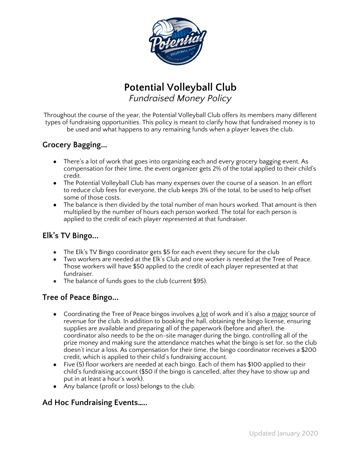

# **Potential Volleyball Club** *Fundraised Money Policy*

Throughout the course of the year, the Potential Volleyball Club offers its members many different types of fundraising opportunities. This policy is meant to clarify how that fundraised money is to be used and what happens to any remaining funds when a player leaves the club.

## **Grocery Bagging...**

- There's a lot of work that goes into organizing each and every grocery bagging event. As compensation for their time, the event organizer gets 2% of the total applied to their child's credit.
- The Potential Volleyball Club has many expenses over the course of a season. In an effort to reduce club fees for everyone, the club keeps 3% of the total, to be used to help offset some of those costs.
- The balance is then divided by the total number of man hours worked. That amount is then multiplied by the number of hours each person worked. The total for each person is applied to the credit of each player represented at that fundraiser.

#### **Elk's TV Bingo...**

- The Elk's TV Bingo coordinator gets \$5 for each event they secure for the club
- Two workers are needed at the Elk's Club and one worker is needed at the Tree of Peace. Those workers will have \$50 applied to the credit of each player represented at that fundraiser.
- The balance of funds goes to the club (current \$95).

# **Tree of Peace Bingo...**

- Coordinating the Tree of Peace bingos involves a lot of work and it's also a major source of revenue for the club. In addition to booking the hall, obtaining the bingo license, ensuring supplies are available and preparing all of the paperwork (before and after), the coordinator also needs to be the on-site manager during the bingo, controlling all of the prize money and making sure the attendance matches what the bingo is set for, so the club doesn't incur a loss. As compensation for their time, the bingo coordinator receives a \$200 credit, which is applied to their child's fundraising account.
- Five (5) floor workers are needed at each bingo. Each of them has \$100 applied to their child's fundraising account (\$50 if the bingo is cancelled, after they have to show up and put in at least a hour's work).
- Any balance (profit or loss) belongs to the club.

#### **Ad Hoc Fundraising Events…..**